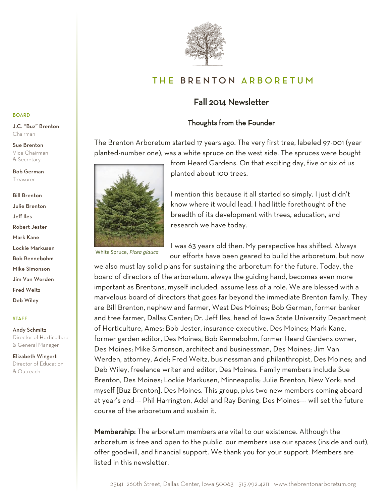

# THE BRENTON ARBORETUM

# Fall 2014 Newsletter

# Thoughts from the Founder

The Brenton Arboretum started 17 years ago. The very first tree, labeled 97-001 (year planted-number one), was a white spruce on the west side. The spruces were bought



from Heard Gardens. On that exciting day, five or six of us planted about 100 trees.

I mention this because it all started so simply. I just didn't know where it would lead. I had little forethought of the breadth of its development with trees, education, and research we have today.

White Spruce, *Picea glauca*

I was 63 years old then. My perspective has shifted. Always our efforts have been geared to build the arboretum, but now

we also must lay solid plans for sustaining the arboretum for the future. Today, the board of directors of the arboretum, always the guiding hand, becomes even more important as Brentons, myself included, assume less of a role. We are blessed with a marvelous board of directors that goes far beyond the immediate Brenton family. They are Bill Brenton, nephew and farmer, West Des Moines; Bob German, former banker and tree farmer, Dallas Center; Dr. Jeff Iles, head of Iowa State University Department of Horticulture, Ames; Bob Jester, insurance executive, Des Moines; Mark Kane, former garden editor, Des Moines; Bob Rennebohm, former Heard Gardens owner, Des Moines; Mike Simonson, architect and businessman, Des Moines; Jim Van Werden, attorney, Adel; Fred Weitz, businessman and philanthropist, Des Moines; and Deb Wiley, freelance writer and editor, Des Moines. Family members include Sue Brenton, Des Moines; Lockie Markusen, Minneapolis; Julie Brenton, New York; and myself [Buz Brenton], Des Moines. This group, plus two new members coming aboard at year's end--- Phil Harrington, Adel and Ray Bening, Des Moines--- will set the future course of the arboretum and sustain it.

Membership: The arboretum members are vital to our existence. Although the arboretum is free and open to the public, our members use our spaces (inside and out), offer goodwill, and financial support. We thank you for your support. Members are listed in this newsletter.

Elizabeth Wingert Director of Education

& Outreach

Andy Schmitz

STAFF

BOARD

Chairman Sue Brenton Vice Chairman & Secretary Bob German Treasurer

Bill Brenton Julie Brenton Jeff Iles Robert Jester Mark Kane Lockie Markusen Bob Rennebohm Mike Simonson Jim Van Werden Fred Weitz Deb Wiley

J.C. "Buz" Brenton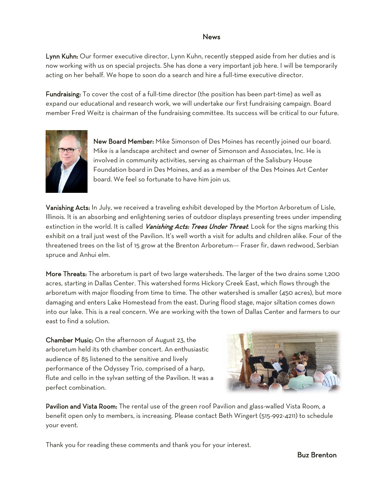# News

Lynn Kuhn: Our former executive director, Lynn Kuhn, recently stepped aside from her duties and is now working with us on special projects. She has done a very important job here. I will be temporarily acting on her behalf. We hope to soon do a search and hire a full-time executive director.

Fundraising: To cover the cost of a full-time director (the position has been part-time) as well as expand our educational and research work, we will undertake our first fundraising campaign. Board member Fred Weitz is chairman of the fundraising committee. Its success will be critical to our future.



New Board Member: Mike Simonson of Des Moines has recently joined our board. Mike is a landscape architect and owner of Simonson and Associates, Inc. He is involved in community activities, serving as chairman of the Salisbury House Foundation board in Des Moines, and as a member of the Des Moines Art Center board. We feel so fortunate to have him join us.

Vanishing Acts: In July, we received a traveling exhibit developed by the Morton Arboretum of Lisle, Illinois. It is an absorbing and enlightening series of outdoor displays presenting trees under impending extinction in the world. It is called Vanishing Acts: Trees Under Threat. Look for the signs marking this exhibit on a trail just west of the Pavilion. It's well worth a visit for adults and children alike. Four of the threatened trees on the list of 15 grow at the Brenton Arboretum--- Fraser fir, dawn redwood, Serbian spruce and Anhui elm.

More Threats: The arboretum is part of two large watersheds. The larger of the two drains some 1,200 acres, starting in Dallas Center. This watershed forms Hickory Creek East, which flows through the arboretum with major flooding from time to time. The other watershed is smaller (450 acres), but more damaging and enters Lake Homestead from the east. During flood stage, major siltation comes down into our lake. This is a real concern. We are working with the town of Dallas Center and farmers to our east to find a solution.

Chamber Music: On the afternoon of August 23, the arboretum held its 9th chamber concert. An enthusiastic audience of 85 listened to the sensitive and lively performance of the Odyssey Trio, comprised of a harp, flute and cello in the sylvan setting of the Pavilion. It was a perfect combination.



Pavilion and Vista Room: The rental use of the green roof Pavilion and glass-walled Vista Room, a benefit open only to members, is increasing. Please contact Beth Wingert (515-992-4211) to schedule your event.

Thank you for reading these comments and thank you for your interest.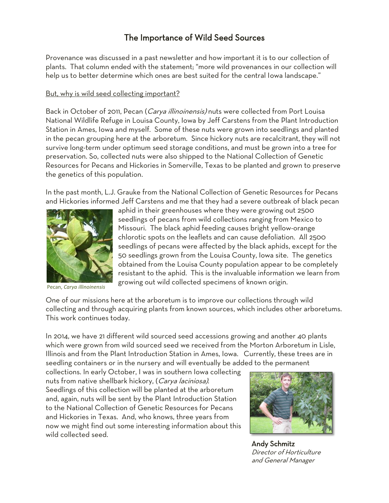# The Importance of Wild Seed Sources

Provenance was discussed in a past newsletter and how important it is to our collection of plants. That column ended with the statement; "more wild provenances in our collection will help us to better determine which ones are best suited for the central Iowa landscape."

# But, why is wild seed collecting important?

Back in October of 2011, Pecan (Carya illinoinensis) nuts were collected from Port Louisa National Wildlife Refuge in Louisa County, Iowa by Jeff Carstens from the Plant Introduction Station in Ames, Iowa and myself. Some of these nuts were grown into seedlings and planted in the pecan grouping here at the arboretum. Since hickory nuts are recalcitrant, they will not survive long-term under optimum seed storage conditions, and must be grown into a tree for preservation. So, collected nuts were also shipped to the National Collection of Genetic Resources for Pecans and Hickories in Somerville, Texas to be planted and grown to preserve the genetics of this population.

In the past month, L.J. Grauke from the National Collection of Genetic Resources for Pecans and Hickories informed Jeff Carstens and me that they had a severe outbreak of black pecan



Pecan, *Carya illinoinensis*

aphid in their greenhouses where they were growing out 2500 seedlings of pecans from wild collections ranging from Mexico to Missouri. The black aphid feeding causes bright yellow-orange chlorotic spots on the leaflets and can cause defoliation. All 2500 seedlings of pecans were affected by the black aphids, except for the 50 seedlings grown from the Louisa County, Iowa site. The genetics obtained from the Louisa County population appear to be completely resistant to the aphid. This is the invaluable information we learn from growing out wild collected specimens of known origin.

One of our missions here at the arboretum is to improve our collections through wild collecting and through acquiring plants from known sources, which includes other arboretums. This work continues today.

In 2014, we have 21 different wild sourced seed accessions growing and another 40 plants which were grown from wild sourced seed we received from the Morton Arboretum in Lisle, Illinois and from the Plant Introduction Station in Ames, Iowa. Currently, these trees are in seedling containers or in the nursery and will eventually be added to the permanent

collections. In early October, I was in southern Iowa collecting nuts from native shellbark hickory, (Carya laciniosa). Seedlings of this collection will be planted at the arboretum and, again, nuts will be sent by the Plant Introduction Station to the National Collection of Genetic Resources for Pecans and Hickories in Texas. And, who knows, three years from now we might find out some interesting information about this wild collected seed.



Andy Schmitz Director of Horticulture and General Manager